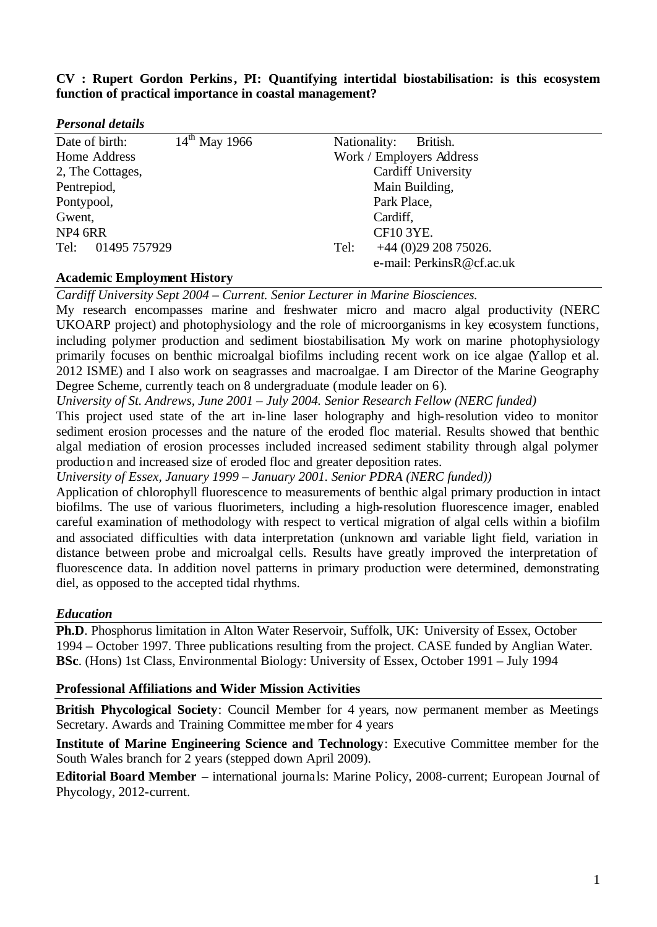# **CV : Rupert Gordon Perkins, PI: Quantifying intertidal biostabilisation: is this ecosystem function of practical importance in coastal management?**

| <b>Personal details</b> |  |
|-------------------------|--|
|-------------------------|--|

| Date of birth:                     | $14^{th}$ May 1966 | Nationality:<br>British.       |
|------------------------------------|--------------------|--------------------------------|
| Home Address                       |                    | Work / Employers Address       |
| 2, The Cottages,                   |                    | <b>Cardiff University</b>      |
| Pentrepiod,                        |                    | Main Building,                 |
| Pontypool,                         |                    | Park Place,                    |
| Gwent,                             |                    | Cardiff,                       |
| NP4 6RR                            |                    | <b>CF10 3YE.</b>               |
| 01495 757929<br>Tel:               |                    | $+44$ (0)29 208 75026.<br>Tel: |
|                                    |                    | e-mail: PerkinsR@cf.ac.uk      |
| <b>Academic Employment History</b> |                    |                                |

# *Cardiff University Sept 2004 – Current. Senior Lecturer in Marine Biosciences.*

My research encompasses marine and freshwater micro and macro algal productivity (NERC UKOARP project) and photophysiology and the role of microorganisms in key ecosystem functions, including polymer production and sediment biostabilisation. My work on marine photophysiology primarily focuses on benthic microalgal biofilms including recent work on ice algae (Yallop et al. 2012 ISME) and I also work on seagrasses and macroalgae. I am Director of the Marine Geography Degree Scheme, currently teach on 8 undergraduate (module leader on 6).

*University of St. Andrews, June 2001 – July 2004. Senior Research Fellow (NERC funded)*

This project used state of the art in-line laser holography and high-resolution video to monitor sediment erosion processes and the nature of the eroded floc material. Results showed that benthic algal mediation of erosion processes included increased sediment stability through algal polymer production and increased size of eroded floc and greater deposition rates.

*University of Essex, January 1999 – January 2001. Senior PDRA (NERC funded))*

Application of chlorophyll fluorescence to measurements of benthic algal primary production in intact biofilms. The use of various fluorimeters, including a high-resolution fluorescence imager, enabled careful examination of methodology with respect to vertical migration of algal cells within a biofilm and associated difficulties with data interpretation (unknown and variable light field, variation in distance between probe and microalgal cells. Results have greatly improved the interpretation of fluorescence data. In addition novel patterns in primary production were determined, demonstrating diel, as opposed to the accepted tidal rhythms.

# *Education*

**Ph.D**. Phosphorus limitation in Alton Water Reservoir, Suffolk, UK: University of Essex, October 1994 – October 1997. Three publications resulting from the project. CASE funded by Anglian Water. **BSc**. (Hons) 1st Class, Environmental Biology: University of Essex, October 1991 – July 1994

## **Professional Affiliations and Wider Mission Activities**

**British Phycological Society**: Council Member for 4 years, now permanent member as Meetings Secretary. Awards and Training Committee member for 4 years

**Institute of Marine Engineering Science and Technology**: Executive Committee member for the South Wales branch for 2 years (stepped down April 2009).

**Editorial Board Member –** international journa ls: Marine Policy, 2008-current; European Journal of Phycology, 2012-current.